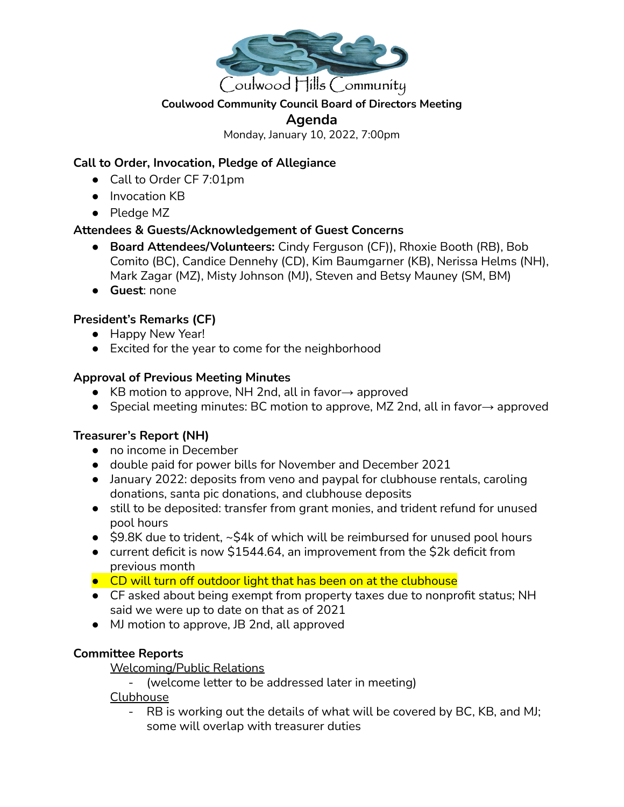

#### **Coulwood Community Council Board of Directors Meeting**

#### **Agenda**

Monday, January 10, 2022, 7:00pm

## **Call to Order, Invocation, Pledge of Allegiance**

- Call to Order CF 7:01pm
- Invocation KB
- Pledge MZ

### **Attendees & Guests/Acknowledgement of Guest Concerns**

- **Board Attendees/Volunteers:** Cindy Ferguson (CF)), Rhoxie Booth (RB), Bob Comito (BC), Candice Dennehy (CD), Kim Baumgarner (KB), Nerissa Helms (NH), Mark Zagar (MZ), Misty Johnson (MJ), Steven and Betsy Mauney (SM, BM)
- **Guest**: none

### **President's Remarks (CF)**

- Happy New Year!
- Excited for the year to come for the neighborhood

#### **Approval of Previous Meeting Minutes**

- KB motion to approve, NH 2nd, all in favor $\rightarrow$  approved
- Special meeting minutes: BC motion to approve, MZ 2nd, all in favor→ approved

### **Treasurer's Report (NH)**

- no income in December
- double paid for power bills for November and December 2021
- January 2022: deposits from veno and paypal for clubhouse rentals, caroling donations, santa pic donations, and clubhouse deposits
- still to be deposited: transfer from grant monies, and trident refund for unused pool hours
- $\bullet$  \$9.8K due to trident,  $\sim$ \$4k of which will be reimbursed for unused pool hours
- current deficit is now \$1544.64, an improvement from the \$2k deficit from previous month
- CD will turn off outdoor light that has been on at the clubhouse
- CF asked about being exempt from property taxes due to nonprofit status; NH said we were up to date on that as of 2021
- MJ motion to approve, JB 2nd, all approved

### **Committee Reports**

Welcoming/Public Relations

- (welcome letter to be addressed later in meeting)

Clubhouse

- RB is working out the details of what will be covered by BC, KB, and MJ; some will overlap with treasurer duties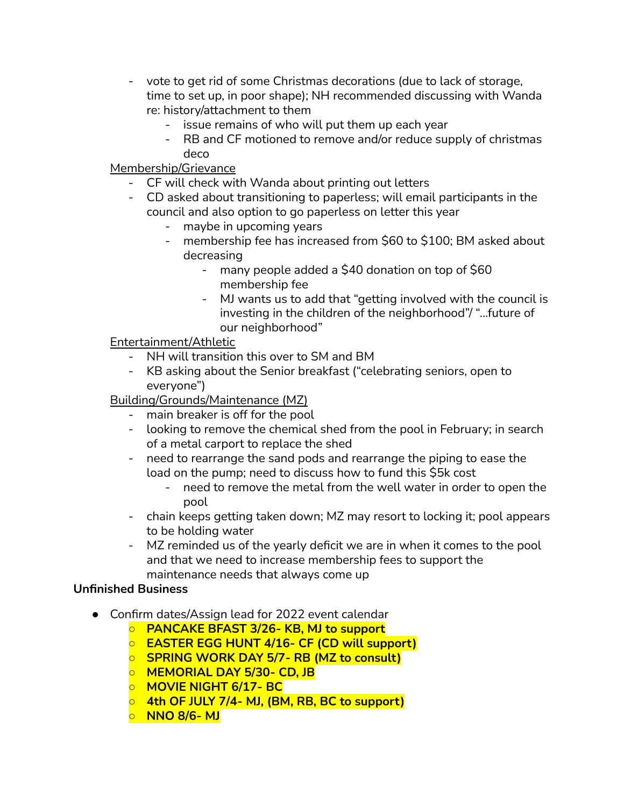- vote to get rid of some Christmas decorations (due to lack of storage, time to set up, in poor shape); NH recommended discussing with Wanda re: history/attachment to them
	- issue remains of who will put them up each year
	- RB and CF motioned to remove and/or reduce supply of christmas deco

# Membership/Grievance

- CF will check with Wanda about printing out letters
- CD asked about transitioning to paperless; will email participants in the council and also option to go paperless on letter this year
	- maybe in upcoming years
	- membership fee has increased from \$60 to \$100; BM asked about decreasing
		- many people added a \$40 donation on top of \$60 membership fee
		- MJ wants us to add that "getting involved with the council is investing in the children of the neighborhood"/ "...future of our neighborhood"

## Entertainment/Athletic

- NH will transition this over to SM and BM
- KB asking about the Senior breakfast ("celebrating seniors, open to everyone")

# Building/Grounds/Maintenance (MZ)

- main breaker is off for the pool
- looking to remove the chemical shed from the pool in February; in search of a metal carport to replace the shed
- need to rearrange the sand pods and rearrange the piping to ease the load on the pump; need to discuss how to fund this \$5k cost
	- need to remove the metal from the well water in order to open the pool
- chain keeps getting taken down; MZ may resort to locking it; pool appears to be holding water
- MZ reminded us of the yearly deficit we are in when it comes to the pool and that we need to increase membership fees to support the maintenance needs that always come up

### **Unfinished Business**

- Confirm dates/Assign lead for 2022 event calendar
	- **○ PANCAKE BFAST 3/26- KB, MJ to support**
	- **○ EASTER EGG HUNT 4/16- CF (CD will support)**
	- **○ SPRING WORK DAY 5/7- RB (MZ to consult)**
	- **○ MEMORIAL DAY 5/30- CD, JB**
	- **○ MOVIE NIGHT 6/17- BC**
	- **○ 4th OF JULY 7/4- MJ, (BM, RB, BC to support)**
	- **○ NNO 8/6- MJ**